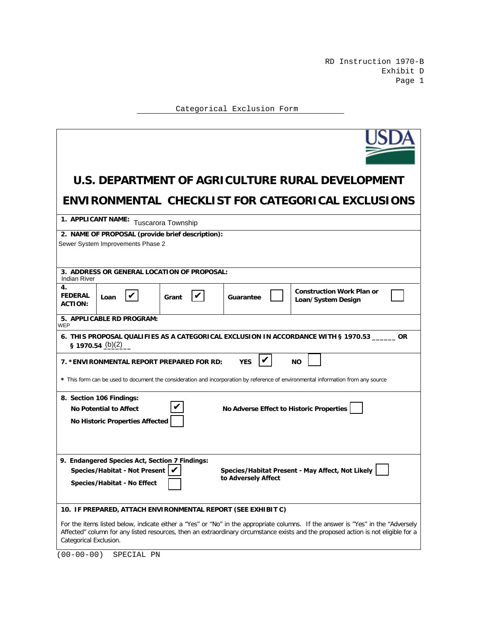RD Instruction 1970-B Exhibit D Page 1

Categorical Exclusion Form

| U.S. DEPARTMENT OF AGRICULTURE RURAL DEVELOPMENT                                                                                                                                                                                                                                                 |  |  |  |  |  |  |  |
|--------------------------------------------------------------------------------------------------------------------------------------------------------------------------------------------------------------------------------------------------------------------------------------------------|--|--|--|--|--|--|--|
| ENVIRONMENTAL CHECKLIST FOR CATEGORICAL EXCLUSIONS                                                                                                                                                                                                                                               |  |  |  |  |  |  |  |
| 1. APPLICANT NAME:<br><b>Tuscarora Township</b>                                                                                                                                                                                                                                                  |  |  |  |  |  |  |  |
| 2. NAME OF PROPOSAL (provide brief description):<br>Sewer System Improvements Phase 2                                                                                                                                                                                                            |  |  |  |  |  |  |  |
| 3. ADDRESS OR GENERAL LOCATION OF PROPOSAL:<br><b>Indian River</b>                                                                                                                                                                                                                               |  |  |  |  |  |  |  |
| 4.<br><b>Construction Work Plan or</b><br>V<br><b>FEDERAL</b><br>V<br>Loan<br>Grant<br>Guarantee<br>Loan/System Design<br><b>ACTION:</b>                                                                                                                                                         |  |  |  |  |  |  |  |
| 5. APPLICABLE RD PROGRAM:<br>WEP                                                                                                                                                                                                                                                                 |  |  |  |  |  |  |  |
| 6. THIS PROPOSAL QUALIFIES AS A CATEGORICAL EXCLUSION IN ACCORDANCE WITH § 1970.53 _______ OR<br>§ 1970.54 $(b)(2)$                                                                                                                                                                              |  |  |  |  |  |  |  |
| <b>YES</b><br>7. *ENVIRONMENTAL REPORT PREPARED FOR RD:<br><b>NO</b>                                                                                                                                                                                                                             |  |  |  |  |  |  |  |
| * This form can be used to document the consideration and incorporation by reference of environmental information from any source                                                                                                                                                                |  |  |  |  |  |  |  |
| 8. Section 106 Findings:<br>No Adverse Effect to Historic Properties<br><b>No Potential to Affect</b><br><b>No Historic Properties Affected</b>                                                                                                                                                  |  |  |  |  |  |  |  |
|                                                                                                                                                                                                                                                                                                  |  |  |  |  |  |  |  |
| 9. Endangered Species Act, Section 7 Findings:<br>Species/Habitat - Not Present  <br>Species/Habitat Present - May Affect, Not Likely<br>to Adversely Affect<br><b>Species/Habitat - No Effect</b>                                                                                               |  |  |  |  |  |  |  |
| 10. IF PREPARED, ATTACH ENVIRONMENTAL REPORT (SEE EXHIBIT C)                                                                                                                                                                                                                                     |  |  |  |  |  |  |  |
| For the items listed below, indicate either a "Yes" or "No" in the appropriate columns. If the answer is "Yes" in the "Adversely<br>Affected" column for any listed resources, then an extraordinary circumstance exists and the proposed action is not eligible for a<br>Categorical Exclusion. |  |  |  |  |  |  |  |

(00-00-00) SPECIAL PN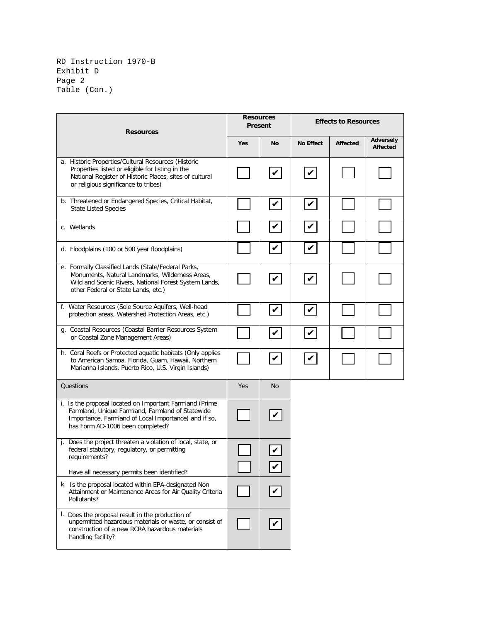RD Instruction 1970-B Exhibit D Page 2 Table (Con.)

| <b>Resources</b>                                                                                                                                                                                           |     | <b>Resources</b><br>Present |                               | <b>Effects to Resources</b> |                              |  |
|------------------------------------------------------------------------------------------------------------------------------------------------------------------------------------------------------------|-----|-----------------------------|-------------------------------|-----------------------------|------------------------------|--|
|                                                                                                                                                                                                            | Yes | No                          | <b>No Effect</b>              | <b>Affected</b>             | <b>Adversely</b><br>Affected |  |
| a. Historic Properties/Cultural Resources (Historic<br>Properties listed or eligible for listing in the<br>National Register of Historic Places, sites of cultural<br>or religious significance to tribes) |     | $\boldsymbol{\mathcal{V}}$  | $\boldsymbol{v}$              |                             |                              |  |
| b. Threatened or Endangered Species, Critical Habitat,<br><b>State Listed Species</b>                                                                                                                      |     | $\vert\!\vert$              | $\boldsymbol{v}$              |                             |                              |  |
| c. Wetlands                                                                                                                                                                                                |     | $\boldsymbol{\mathcal{U}}$  | V                             |                             |                              |  |
| d. Floodplains (100 or 500 year floodplains)                                                                                                                                                               |     | $\boldsymbol{\mathcal{V}}$  | $\boldsymbol{v}$              |                             |                              |  |
| e. Formally Classified Lands (State/Federal Parks,<br>Monuments, Natural Landmarks, Wilderness Areas,<br>Wild and Scenic Rivers, National Forest System Lands,<br>other Federal or State Lands, etc.)      |     | $\vert\!\vert$              | $\vert\bm{\mathsf{\nu}}\vert$ |                             |                              |  |
| f. Water Resources (Sole Source Aquifers, Well-head<br>protection areas, Watershed Protection Areas, etc.)                                                                                                 |     | $\boldsymbol{\mathcal{V}}$  | V                             |                             |                              |  |
| g. Coastal Resources (Coastal Barrier Resources System<br>or Coastal Zone Management Areas)                                                                                                                |     | $\boldsymbol{\mathcal{V}}$  | V                             |                             |                              |  |
| h. Coral Reefs or Protected aquatic habitats (Only applies<br>to American Samoa, Florida, Guam, Hawaii, Northern<br>Marianna Islands, Puerto Rico, U.S. Virgin Islands)                                    |     | $\vert\bm{\mathsf{v}}\vert$ | $\boldsymbol{v}$              |                             |                              |  |
| Questions                                                                                                                                                                                                  | Yes | <b>No</b>                   |                               |                             |                              |  |
| i. Is the proposal located on Important Farmland (Prime<br>Farmland, Unique Farmland, Farmland of Statewide<br>Importance, Farmland of Local Importance) and if so,<br>has Form AD-1006 been completed?    |     | $\boldsymbol{v}$            |                               |                             |                              |  |
| j. Does the project threaten a violation of local, state, or<br>federal statutory, regulatory, or permitting<br>requirements?<br>Have all necessary permits been identified?                               |     | V                           |                               |                             |                              |  |
| k. Is the proposal located within EPA-designated Non<br>Attainment or Maintenance Areas for Air Quality Criteria<br>Pollutants?                                                                            |     | $\checkmark$                |                               |                             |                              |  |
| I. Does the proposal result in the production of<br>unpermitted hazardous materials or waste, or consist of<br>construction of a new RCRA hazardous materials<br>handling facility?                        |     |                             |                               |                             |                              |  |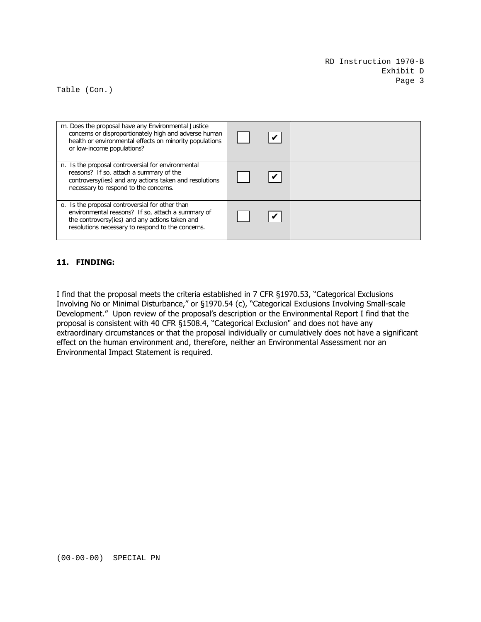Table (Con.)

| m. Does the proposal have any Environmental Justice<br>concerns or disproportionately high and adverse human<br>health or environmental effects on minority populations<br>or low-income populations?        |  |  |
|--------------------------------------------------------------------------------------------------------------------------------------------------------------------------------------------------------------|--|--|
| n. Is the proposal controversial for environmental<br>reasons? If so, attach a summary of the<br>controversy(ies) and any actions taken and resolutions<br>necessary to respond to the concerns.             |  |  |
| o. Is the proposal controversial for other than<br>environmental reasons? If so, attach a summary of<br>the controversy (ies) and any actions taken and<br>resolutions necessary to respond to the concerns. |  |  |

## **11. FINDING:**

I find that the proposal meets the criteria established in 7 CFR §1970.53, "Categorical Exclusions Involving No or Minimal Disturbance," or §1970.54 (c), "Categorical Exclusions Involving Small-scale Development." Upon review of the proposal's description or the Environmental Report I find that the proposal is consistent with 40 CFR §1508.4, "Categorical Exclusion" and does not have any extraordinary circumstances or that the proposal individually or cumulatively does not have a significant effect on the human environment and, therefore, neither an Environmental Assessment nor an Environmental Impact Statement is required.